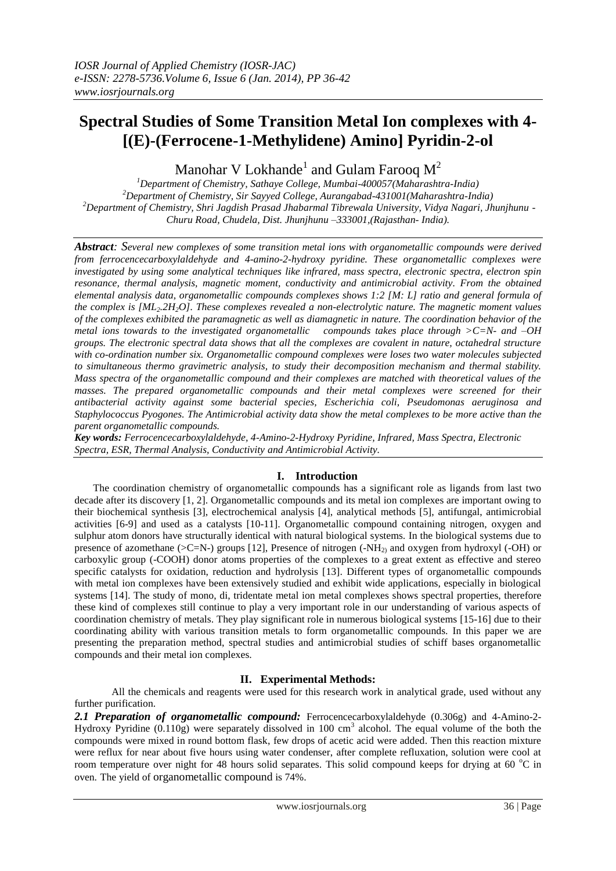# **Spectral Studies of Some Transition Metal Ion complexes with 4- [(E)-(Ferrocene-1-Methylidene) Amino] Pyridin-2-ol**

Manohar V Lokhande<sup>1</sup> and Gulam Farooq  $M^2$ 

*Department of Chemistry, Sathaye College, Mumbai-400057(Maharashtra-India) Department of Chemistry, Sir Sayyed College, Aurangabad-431001(Maharashtra-India) Department of Chemistry, Shri Jagdish Prasad Jhabarmal Tibrewala University, Vidya Nagari, Jhunjhunu - Churu Road, Chudela, Dist. Jhunjhunu –333001,(Rajasthan- India).*

*Abstract: Several new complexes of some transition metal ions with organometallic compounds were derived from ferrocencecarboxylaldehyde and 4-amino-2-hydroxy pyridine. These organometallic complexes were investigated by using some analytical techniques like infrared, mass spectra, electronic spectra, electron spin resonance, thermal analysis, magnetic moment, conductivity and antimicrobial activity. From the obtained elemental analysis data, organometallic compounds complexes shows 1:2 [M: L] ratio and general formula of the complex is [ML2.2H2O]. These complexes revealed a non-electrolytic nature. The magnetic moment values of the complexes exhibited the paramagnetic as well as diamagnetic in nature. The coordination behavior of the metal ions towards to the investigated organometallic compounds takes place through >C=N- and –OH groups. The electronic spectral data shows that all the complexes are covalent in nature, octahedral structure with co-ordination number six. Organometallic compound complexes were loses two water molecules subjected to simultaneous thermo gravimetric analysis, to study their decomposition mechanism and thermal stability. Mass spectra of the organometallic compound and their complexes are matched with theoretical values of the masses. The prepared organometallic compounds and their metal complexes were screened for their antibacterial activity against some bacterial species, Escherichia coli, Pseudomonas aeruginosa and Staphylococcus Pyogones. The Antimicrobial activity data show the metal complexes to be more active than the parent organometallic compounds.*

*Key words: Ferrocencecarboxylaldehyde, 4-Amino-2-Hydroxy Pyridine, Infrared, Mass Spectra, Electronic Spectra, ESR, Thermal Analysis, Conductivity and Antimicrobial Activity.*

# **I. Introduction**

The coordination chemistry of organometallic compounds has a significant role as ligands from last two decade after its discovery [1, 2]. Organometallic compounds and its metal ion complexes are important owing to their biochemical synthesis [3], electrochemical analysis [4], analytical methods [5], antifungal, antimicrobial activities [6-9] and used as a catalysts [10-11]. Organometallic compound containing nitrogen, oxygen and sulphur atom donors have structurally identical with natural biological systems. In the biological systems due to presence of azomethane ( $>C=N$ -) groups [12], Presence of nitrogen (- $NH<sub>2</sub>$ ) and oxygen from hydroxyl (-OH) or carboxylic group (-COOH) donor atoms properties of the complexes to a great extent as effective and stereo specific catalysts for oxidation, reduction and hydrolysis [13]. Different types of organometallic compounds with metal ion complexes have been extensively studied and exhibit wide applications, especially in biological systems [14]. The study of mono, di, tridentate metal ion metal complexes shows spectral properties, therefore these kind of complexes still continue to play a very important role in our understanding of various aspects of coordination chemistry of metals. They play significant role in numerous biological systems [15-16] due to their coordinating ability with various transition metals to form organometallic compounds. In this paper we are presenting the preparation method, spectral studies and antimicrobial studies of schiff bases organometallic compounds and their metal ion complexes.

# **II. Experimental Methods:**

All the chemicals and reagents were used for this research work in analytical grade, used without any further purification.

*2.1 Preparation of organometallic compound:* Ferrocencecarboxylaldehyde (0.306g) and 4-Amino-2- Hydroxy Pyridine  $(0.110g)$  were separately dissolved in 100 cm<sup>3</sup> alcohol. The equal volume of the both the compounds were mixed in round bottom flask, few drops of acetic acid were added. Then this reaction mixture were reflux for near about five hours using water condenser, after complete refluxation, solution were cool at room temperature over night for 48 hours solid separates. This solid compound keeps for drying at 60  $^{\circ}$ C in oven. The yield of organometallic compound is 74%.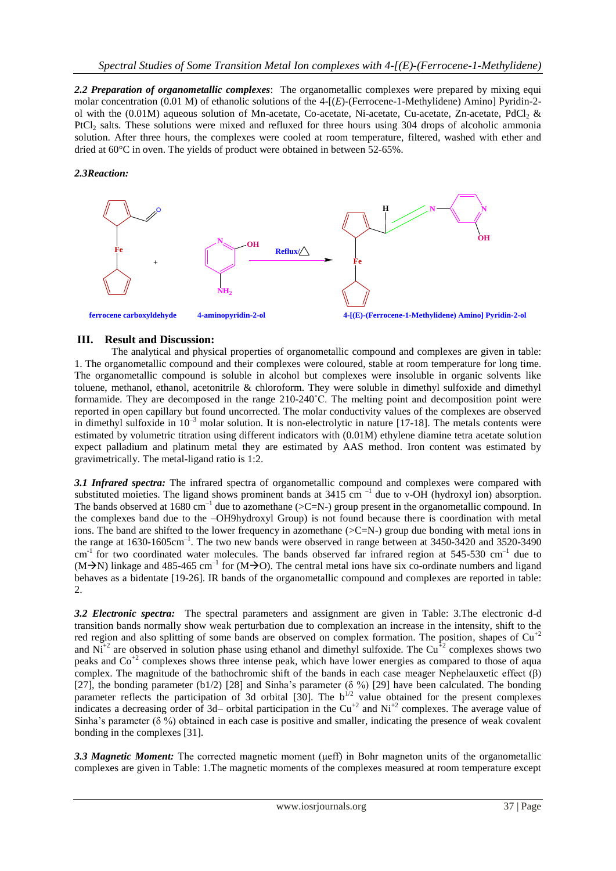*2.2 Preparation of organometallic complexes*: The organometallic complexes were prepared by mixing equi molar concentration (0.01 M) of ethanolic solutions of the 4-[*(E*)-(Ferrocene-1-Methylidene) Aminol Pyridin-2ol with the  $(0.01M)$  aqueous solution of Mn-acetate, Co-acetate, Ni-acetate, Cu-acetate, Zn-acetate, PdCl<sub>2</sub> & PtCl<sub>2</sub> salts. These solutions were mixed and refluxed for three hours using 304 drops of alcoholic ammonia solution. After three hours, the complexes were cooled at room temperature, filtered, washed with ether and dried at 60°C in oven. The yields of product were obtained in between 52-65%.

### *2.3Reaction:*



## **III. Result and Discussion:**

The analytical and physical properties of organometallic compound and complexes are given in table: 1. The organometallic compound and their complexes were coloured, stable at room temperature for long time. The organometallic compound is soluble in alcohol but complexes were insoluble in organic solvents like toluene, methanol, ethanol, acetonitrile & chloroform. They were soluble in dimethyl sulfoxide and dimethyl formamide. They are decomposed in the range 210-240˚C. The melting point and decomposition point were reported in open capillary but found uncorrected. The molar conductivity values of the complexes are observed in dimethyl sulfoxide in  $10^{-3}$  molar solution. It is non-electrolytic in nature [17-18]. The metals contents were estimated by volumetric titration using different indicators with (0.01M) ethylene diamine tetra acetate solution expect palladium and platinum metal they are estimated by AAS method. Iron content was estimated by gravimetrically. The metal-ligand ratio is 1:2.

*3.1 Infrared spectra:* The infrared spectra of organometallic compound and complexes were compared with substituted moieties. The ligand shows prominent bands at 3415 cm<sup>-1</sup> due to v-OH (hydroxyl ion) absorption. The bands observed at  $1680 \text{ cm}^{-1}$  due to azomethane (>C=N-) group present in the organometallic compound. In the complexes band due to the –OH9hydroxyl Group) is not found because there is coordination with metal ions. The band are shifted to the lower frequency in azomethane  $(\geq C=N)$  group due bonding with metal ions in the range at 1630-1605cm<sup>-1</sup>. The two new bands were observed in range between at 3450-3420 and 3520-3490 cm<sup>-1</sup> for two coordinated water molecules. The bands observed far infrared region at 545-530 cm<sup>-1</sup> due to  $(M\rightarrow N)$  linkage and 485-465 cm<sup>-1</sup> for  $(M\rightarrow O)$ . The central metal ions have six co-ordinate numbers and ligand behaves as a bidentate [19-26]. IR bands of the organometallic compound and complexes are reported in table:  $2.$ 

*3.2 Electronic spectra:*The spectral parameters and assignment are given in Table: 3.The electronic d-d transition bands normally show weak perturbation due to complexation an increase in the intensity, shift to the red region and also splitting of some bands are observed on complex formation. The position, shapes of  $Cu^{2}$ and  $Ni^{+2}$  are observed in solution phase using ethanol and dimethyl sulfoxide. The Cu<sup>+2</sup> complexes shows two peaks and Co<sup>+2</sup> complexes shows three intense peak, which have lower energies as compared to those of aqua complex. The magnitude of the bathochromic shift of the bands in each case meager Nephelauxetic effect (β) [27], the bonding parameter  $(b1/2)$  [28] and Sinha's parameter ( $\delta \%$ ) [29] have been calculated. The bonding parameter reflects the participation of 3d orbital [30]. The  $b^{1/2}$  value obtained for the present complexes indicates a decreasing order of 3d– orbital participation in the Cu<sup>+2</sup> and Ni<sup>+2</sup> complexes. The average value of Sinha's parameter (δ %) obtained in each case is positive and smaller, indicating the presence of weak covalent bonding in the complexes [31].

*3.3 Magnetic Moment:* The corrected magnetic moment (μeff) in Bohr magneton units of the organometallic complexes are given in Table: 1.The magnetic moments of the complexes measured at room temperature except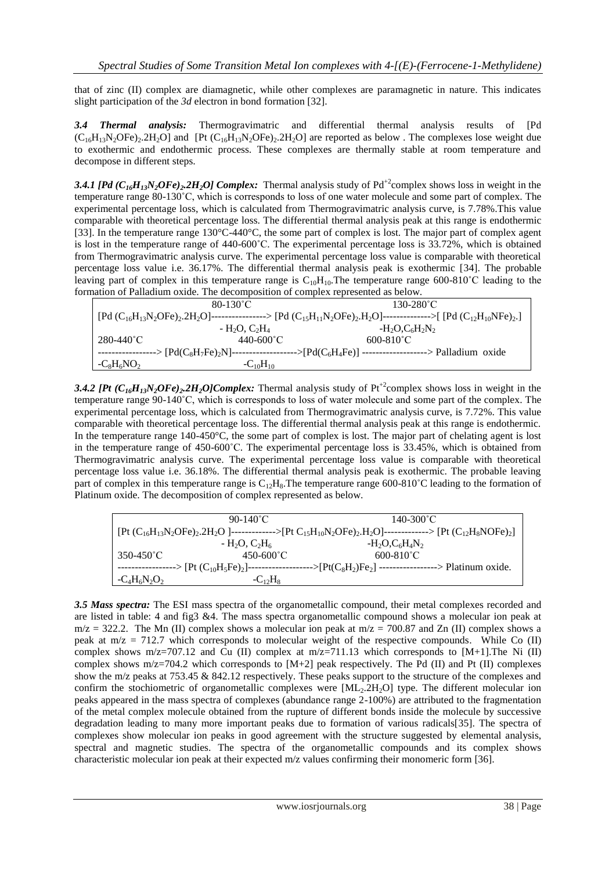that of zinc (II) complex are diamagnetic, while other complexes are paramagnetic in nature. This indicates slight participation of the *3d* electron in bond formation [32].

*3.4 Thermal analysis:* Thermogravimatric and differential thermal analysis results of [Pd  $(C_{16}H_{13}N_2OFe)_2.2H_2O]$  and [Pt  $(C_{16}H_{13}N_2OFe)_2.2H_2O]$  are reported as below . The complexes lose weight due to exothermic and endothermic process. These complexes are thermally stable at room temperature and decompose in different steps.

**3.4.1 [Pd**  $(C_{16}H_{13}N_2OFe)_2$ .2H<sub>2</sub>O] *Complex:* Thermal analysis study of Pd<sup>+2</sup>complex shows loss in weight in the temperature range 80-130˚C, which is corresponds to loss of one water molecule and some part of complex. The experimental percentage loss, which is calculated from Thermogravimatric analysis curve, is 7.78%.This value comparable with theoretical percentage loss. The differential thermal analysis peak at this range is endothermic [33]. In the temperature range 130°C-440°C, the some part of complex is lost. The major part of complex agent is lost in the temperature range of 440-600˚C. The experimental percentage loss is 33.72%, which is obtained from Thermogravimatric analysis curve. The experimental percentage loss value is comparable with theoretical percentage loss value i.e. 36.17%. The differential thermal analysis peak is exothermic [34]. The probable leaving part of complex in this temperature range is  $C_{10}H_{10}$ . The temperature range 600-810°C leading to the formation of Palladium oxide. The decomposition of complex represented as below.

| $80-130^{\circ}$ C |                       | $130 - 280^{\circ}$ C                                                                                                               |  |
|--------------------|-----------------------|-------------------------------------------------------------------------------------------------------------------------------------|--|
|                    |                       | $[Pd (C_{16}H_{13}N_2OFe)_2.2H_2O]$ ----------------> $[Pd (C_{15}H_{11}N_2OFe)_2.H_2O]$ --------------> $[Pd (C_{12}H_{10}NFe)_2]$ |  |
|                    | $-H_2O, C_2H_4$       | $-H_2O, C_6H_2N_2$                                                                                                                  |  |
| 280-440°C          | $440 - 600^{\circ}$ C | $600 - 810^{\circ}$ C                                                                                                               |  |
|                    |                       | -----------------> $[Pd(C_8H_7Fe)_2N]$ ------------------> $[Pd(C_6H_4Fe)]$ ------------------> Palladium oxide                     |  |
| $-C_8H_6NO_2$      | $-C_{10}H_{10}$       |                                                                                                                                     |  |
|                    |                       |                                                                                                                                     |  |

**3.4.2 [Pt**  $(C_{16}H_{13}V_2OFe)_2$ **.2H<sub>2</sub>O]Complex:** Thermal analysis study of Pt<sup>+2</sup>complex shows loss in weight in the temperature range 90-140˚C, which is corresponds to loss of water molecule and some part of the complex. The experimental percentage loss, which is calculated from Thermogravimatric analysis curve, is 7.72%. This value comparable with theoretical percentage loss. The differential thermal analysis peak at this range is endothermic. In the temperature range 140-450°C, the some part of complex is lost. The major part of chelating agent is lost in the temperature range of 450-600°C. The experimental percentage loss is 33.45%, which is obtained from Thermogravimatric analysis curve. The experimental percentage loss value is comparable with theoretical percentage loss value i.e. 36.18%. The differential thermal analysis peak is exothermic. The probable leaving part of complex in this temperature range is  $C_{12}H_8$ . The temperature range 600-810°C leading to the formation of Platinum oxide. The decomposition of complex represented as below.

|                 | 90-140 <sup>°</sup> C | $140 - 300^{\circ}$ C                                                                                                            |
|-----------------|-----------------------|----------------------------------------------------------------------------------------------------------------------------------|
|                 |                       | $[Pt (C_{16}H_{13}N_2OFe)_2.2H_2O ]$ -------------> $[Pt C_{15}H_{10}N_2OFe)_2.H_2O ]$ -------------> $[Pt (C_{12}H_8NOFe)_2]$   |
|                 | $-H2O, C2H6$          | $-H_2O$ , $C_6H_4N_2$                                                                                                            |
| 350-450°C       | $450 - 600^{\circ}$ C | $600 - 810^{\circ}$ C                                                                                                            |
|                 |                       | -----------------> [Pt $(C_{10}H_5Fe)_2$ ]------------------> [Pt( $C_8H_2$ )Fe <sub>2</sub> ] ----------------> Platinum oxide. |
| $-C_4H_6N_2O_2$ | $-C_{12}H_8$          |                                                                                                                                  |

*3.5 Mass spectra:* The ESI mass spectra of the organometallic compound, their metal complexes recorded and are listed in table: 4 and fig3 &4. The mass spectra organometallic compound shows a molecular ion peak at  $m/z = 322.2$ . The Mn (II) complex shows a molecular ion peak at  $m/z = 700.87$  and Zn (II) complex shows a peak at  $m/z = 712.7$  which corresponds to molecular weight of the respective compounds. While Co (II) complex shows m/z=707.12 and Cu (II) complex at  $m/z=711.13$  which corresponds to [M+1]. The Ni (II) complex shows m/z=704.2 which corresponds to  $[M+2]$  peak respectively. The Pd (II) and Pt (II) complexes show the m/z peaks at 753.45 & 842.12 respectively. These peaks support to the structure of the complexes and confirm the stochiometric of organometallic complexes were  $[ML_2, 2H_2O]$  type. The different molecular ion peaks appeared in the mass spectra of complexes (abundance range 2-100%) are attributed to the fragmentation of the metal complex molecule obtained from the rupture of different bonds inside the molecule by successive degradation leading to many more important peaks due to formation of various radicals[35]. The spectra of complexes show molecular ion peaks in good agreement with the structure suggested by elemental analysis, spectral and magnetic studies. The spectra of the organometallic compounds and its complex shows characteristic molecular ion peak at their expected m/z values confirming their monomeric form [36].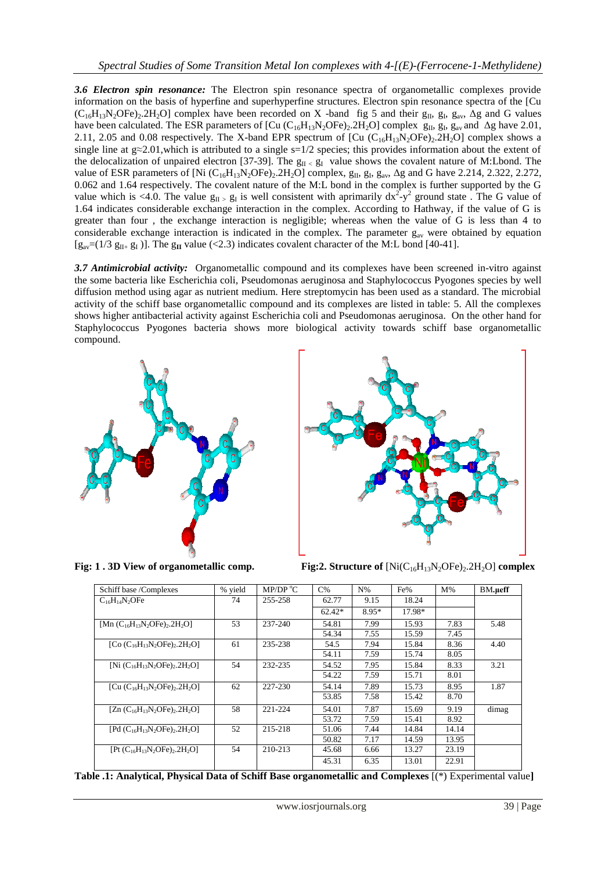*3.6 Electron spin resonance:* The Electron spin resonance spectra of organometallic complexes provide information on the basis of hyperfine and superhyperfine structures. Electron spin resonance spectra of the [Cu  $(C_{16}H_{13}N_2OFe)_2.2H_2O$ ] complex have been recorded on X -band fig 5 and their  $g_{II}$ ,  $g_{II}$ ,  $g_{av}$ ,  $\Delta g$  and G values have been calculated. The ESR parameters of  $[Cu(C_{16}H_{13}N_2OFe)_2.2H_2O]$  complex  $g_{II}$ ,  $g_{I}$ ,  $g_{av}$  and  $\Delta g$  have 2.01, 2.11, 2.05 and 0.08 respectively. The X-band EPR spectrum of [Cu  $(C_{16}H_{13}N_2OFe)_2.2H_2O$ ] complex shows a single line at  $g \approx 2.01$ , which is attributed to a single s=1/2 species; this provides information about the extent of the delocalization of unpaired electron [37-39]. The  $g_{II}$  value shows the covalent nature of M:Lbond. The value of ESR parameters of [Ni  $(C_{16}H_{13}N_2OFe)_2.2H_2O$ ] complex,  $g_{II}$ ,  $g_{I}$ ,  $g_{av}$ ,  $\Delta g$  and G have 2.214, 2.322, 2.272, 0.062 and 1.64 respectively. The covalent nature of the M:L bond in the complex is further supported by the G value which is <4.0. The value  $g_{II} > g_I$  is well consistent with aprimarily  $dx^2 - y^2$  ground state. The G value of 1.64 indicates considerable exchange interaction in the complex. According to Hathway, if the value of G is greater than four , the exchange interaction is negligible; whereas when the value of G is less than 4 to considerable exchange interaction is indicated in the complex. The parameter  $g_{av}$  were obtained by equation  $[g<sub>av</sub>=(1/3 g<sub>II+</sub> g<sub>I</sub>)]$ . The  $g<sub>II</sub>$  value (<2.3) indicates covalent character of the M:L bond [40-41].

*3.7 Antimicrobial activity:* Organometallic compound and its complexes have been screened in-vitro against the some bacteria like Escherichia coli, Pseudomonas aeruginosa and Staphylococcus Pyogones species by well diffusion method using agar as nutrient medium. Here streptomycin has been used as a standard. The microbial activity of the schiff base organometallic compound and its complexes are listed in table: 5. All the complexes shows higher antibacterial activity against Escherichia coli and Pseudomonas aeruginosa. On the other hand for Staphylococcus Pyogones bacteria shows more biological activity towards schiff base organometallic compound.





**Fig: 1 . 3D View of organometallic comp.** Fig:2. Structure of  $\text{[Ni(C<sub>16</sub>H<sub>13</sub>N<sub>2</sub>OFe)<sub>2</sub>.2H<sub>2</sub>O]}$  complex

| Schiff base /Complexes                                       | % yield | MP/DP $^{\circ}$ C | $C\%$    | $N\%$ | Fe%    | $M\%$ | BM.ueff |
|--------------------------------------------------------------|---------|--------------------|----------|-------|--------|-------|---------|
| $C_{16}H_{14}N_2OF$ e                                        | 74      | 255-258            | 62.77    | 9.15  | 18.24  |       |         |
|                                                              |         |                    | $62.42*$ | 8.95* | 17.98* |       |         |
| [Mn $(C_{16}H_{13}N_2OFe)$ , 2H <sub>2</sub> O]              | 53      | 237-240            | 54.81    | 7.99  | 15.93  | 7.83  | 5.48    |
|                                                              |         |                    | 54.34    | 7.55  | 15.59  | 7.45  |         |
| [Co $(C_{16}H_{13}N_2$ OFe) <sub>2</sub> .2H <sub>2</sub> O] | 61      | 235-238            | 54.5     | 7.94  | 15.84  | 8.36  | 4.40    |
|                                                              |         |                    | 54.11    | 7.59  | 15.74  | 8.05  |         |
| [Ni $(C_{16}H_{13}N_2OFe)$ , 2H <sub>2</sub> O]              | 54      | 232-235            | 54.52    | 7.95  | 15.84  | 8.33  | 3.21    |
|                                                              |         |                    | 54.22    | 7.59  | 15.71  | 8.01  |         |
| [Cu $(C_{16}H_{13}N_2OFe)_2.2H_2O$ ]                         | 62      | 227-230            | 54.14    | 7.89  | 15.73  | 8.95  | 1.87    |
|                                                              |         |                    | 53.85    | 7.58  | 15.42  | 8.70  |         |
| [Zn $(C_{16}H_{13}N_2OF_2)$ , 2H <sub>2</sub> O]             | 58      | 221-224            | 54.01    | 7.87  | 15.69  | 9.19  | dimag   |
|                                                              |         |                    | 53.72    | 7.59  | 15.41  | 8.92  |         |
| [Pd $(C_{16}H_{13}N_2$ OFe) <sub>2</sub> .2H <sub>2</sub> O] | 52      | 215-218            | 51.06    | 7.44  | 14.84  | 14.14 |         |
|                                                              |         |                    | 50.82    | 7.17  | 14.59  | 13.95 |         |
| $[Pt (C_{16}H_{13}N_2OFe)_2.2H_2O]$                          | 54      | 210-213            | 45.68    | 6.66  | 13.27  | 23.19 |         |
|                                                              |         |                    | 45.31    | 6.35  | 13.01  | 22.91 |         |

**Table .1: Analytical, Physical Data of Schiff Base organometallic and Complexes** [(\*) Experimental value**]**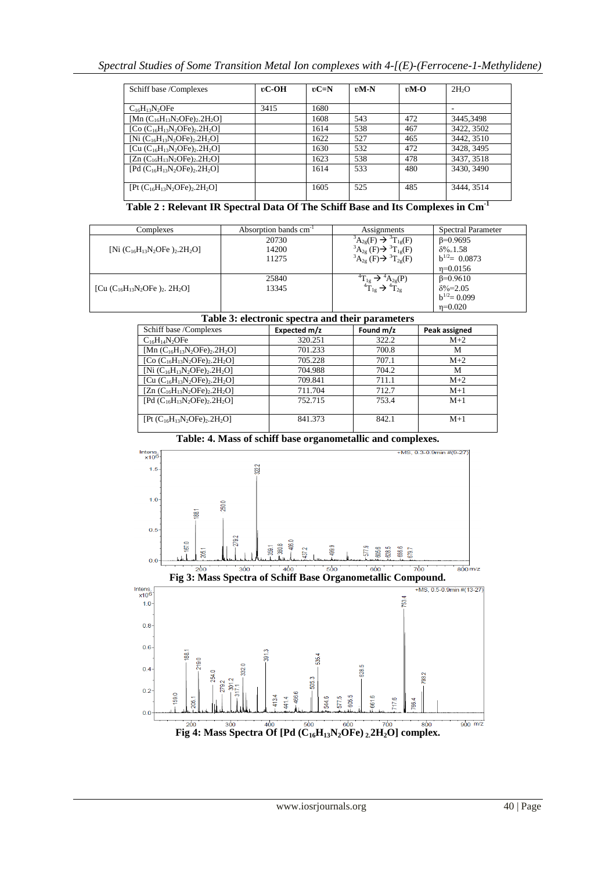| Schiff base /Complexes                                       | $\mathfrak{v}$ <b>C-OH</b> | $\mathbf{v} = \mathbf{N}$ | $vM-N$ | $vM-O$ | 2H <sub>2</sub> O |
|--------------------------------------------------------------|----------------------------|---------------------------|--------|--------|-------------------|
|                                                              |                            |                           |        |        |                   |
| $C_{16}H_{13}N_2$ OFe                                        | 3415                       | 1680                      |        |        |                   |
| [Mn $(C_{16}H_{13}N_2OFe)_2.2H_2O$ ]                         |                            | 1608                      | 543    | 472    | 3445,3498         |
| [Co $(C_{16}H_{13}N_2$ OFe) <sub>2</sub> .2H <sub>2</sub> O] |                            | 1614                      | 538    | 467    | 3422, 3502        |
| [Ni $(C_{16}H_{13}N_2OFe)_2.2H_2O$ ]                         |                            | 1622                      | 527    | 465    | 3442, 3510        |
| [Cu $(C_{16}H_{13}N_2$ OFe) <sub>2</sub> .2H <sub>2</sub> O] |                            | 1630                      | 532    | 472    | 3428, 3495        |
| $[Zn (C_{16}H_{13}N_2OFe)_2.2H_2O]$                          |                            | 1623                      | 538    | 478    | 3437, 3518        |
| [Pd $(C_{16}H_{13}N_2OFe)$ <sub>2H</sub> <sub>2</sub> O]     |                            | 1614                      | 533    | 480    | 3430, 3490        |
|                                                              |                            |                           |        |        |                   |
| $[Pt (C_{16}H_{13}N_2OFe)_2.2H_2O]$                          |                            | 1605                      | 525    | 485    | 3444, 3514        |
|                                                              |                            |                           |        |        |                   |

**Table 2 : Relevant IR Spectral Data Of The Schiff Base and Its Complexes in Cm-1**

| Complexes                                                     | Absorption bands cm <sup>-1</sup> | Assignments                                       | <b>Spectral Parameter</b> |
|---------------------------------------------------------------|-----------------------------------|---------------------------------------------------|---------------------------|
|                                                               | 20730                             | ${}^3A_{2g}(F) \rightarrow {}^3T_{1g}(F)$         | $\beta = 0.9695$          |
| [Ni $(C_{16}H_{13}N_2$ OFe ) <sub>2</sub> .2H <sub>2</sub> O] | 14200                             | ${}^{3}A_{2g}$ (F) $\rightarrow {}^{3}T_{1g}$ (F) | $\delta\% = 1.58$         |
|                                                               | 11275                             | ${}^3A_{2g}$ (F) $\rightarrow$ ${}^3T_{2g}$ (F)   | $b^{1/2}$ = 0.0873        |
|                                                               |                                   |                                                   | $n=0.0156$                |
|                                                               | 25840                             | $A_{2\sigma}(P)$                                  | $\beta = 0.9610$          |
| [Cu $(C_{16}H_{13}N_2$ OFe $)_2$ , 2H <sub>2</sub> O]         | 13345                             | $1_{2g}$                                          | $\delta\% = 2.05$         |
|                                                               |                                   |                                                   | $b^{1/2} = 0.099$         |
|                                                               |                                   |                                                   | $n=0.020$                 |

## **Table 3: electronic spectra and their parameters**

| Schiff base /Complexes                                       | Expected m/z | Found m/z | Peak assigned |
|--------------------------------------------------------------|--------------|-----------|---------------|
| $C_{16}H_{14}N_2$ OFe                                        | 320.251      | 322.2     | $M+2$         |
| [Mn $(C_{16}H_{13}N_2OFe)_2.2H_2O$ ]                         | 701.233      | 700.8     | м             |
| [Co $(C_{16}H_{13}N_2$ OFe) <sub>2</sub> .2H <sub>2</sub> O] | 705.228      | 707.1     | $M+2$         |
| [Ni $(C_{16}H_{13}N_2$ OFe) <sub>2</sub> .2H <sub>2</sub> O] | 704.988      | 704.2     | M             |
| [Cu $(C_{16}H_{13}N_2$ OFe) <sub>2</sub> .2H <sub>2</sub> O] | 709.841      | 711.1     | $M+2$         |
| [Zn $(C_{16}H_{13}N_2$ OFe) <sub>2</sub> .2H <sub>2</sub> O] | 711.704      | 712.7     | $M+1$         |
| [Pd $(C_{16}H_{13}N_2$ OFe) <sub>2</sub> .2H <sub>2</sub> O] | 752.715      | 753.4     | $M+1$         |
|                                                              |              |           |               |
| $[Pt (C_{16}H_{13}N_2OFe)_2.2H_2O]$                          | 841.373      | 842.1     | $M+1$         |
|                                                              |              |           |               |

**Table: 4. Mass of schiff base organometallic and complexes.**



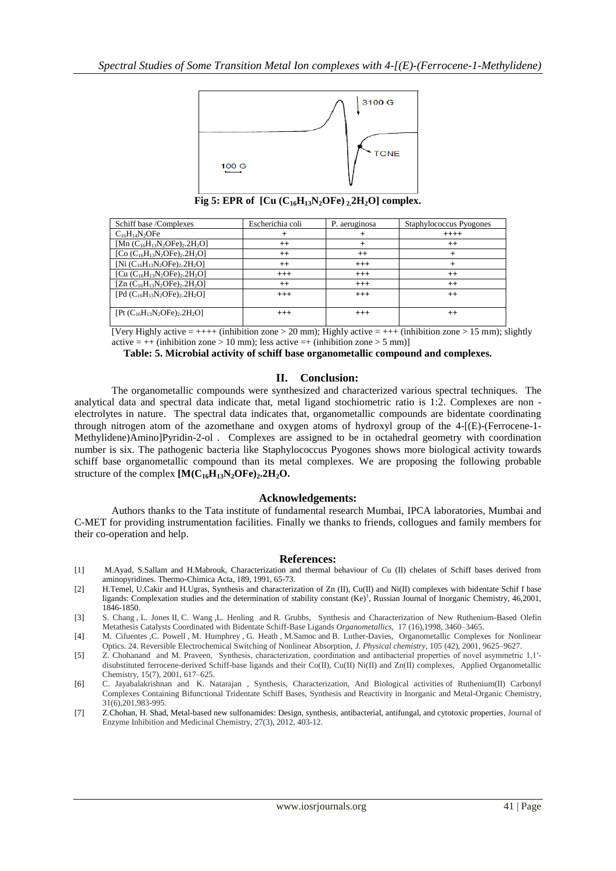

**Fig 5: EPR of**  $\left[$  Cu $\left($   $C_{16}H_{13}N_{2}$  OFe $\right)$  $_2$   $2H_{2}O$  $\right]$  complex.

| Schiff base /Complexes                                       | Escherichia coli | P. aeruginosa | Staphylococcus Pyogones |
|--------------------------------------------------------------|------------------|---------------|-------------------------|
| $C_{16}H_{14}N_{2}OFe$                                       | $^+$             | +             | $++++$                  |
| [Mn $(C_{16}H_{13}N_2$ OFe) <sub>2</sub> .2H <sub>2</sub> O] | $^{++}$          | +             | $^{++}$                 |
| [Co $(C_{16}H_{13}N_2$ OFe) <sub>2</sub> .2H <sub>2</sub> O] | $^{++}$          | $^{++}$       | $^{+}$                  |
| [Ni $(C_{16}H_{13}N_2$ OFe) <sub>2</sub> .2H <sub>2</sub> O] | $++$             | $^{+++}$      | $\div$                  |
| [Cu $(C_{16}H_{13}N_2$ OFe) <sub>2</sub> .2H <sub>2</sub> O] | $+++$            | $^{+++}$      | $^{++}$                 |
| [Zn $(C_{16}H_{13}N_2$ OFe) <sub>2</sub> .2H <sub>2</sub> O] | $++$             | $^{+++}$      | $++$                    |
| [Pd $(C_{16}H_{13}N_2$ OFe) <sub>2</sub> .2H <sub>2</sub> O] | $^{+++}$         | $^{+++}$      | $^{++}$                 |
|                                                              |                  |               |                         |
| $[Pt (C_{16}H_{13}N_2OFe)_2.2H_2O]$                          | $^{+++}$         | $^{+++}$      | $++$                    |
|                                                              |                  |               |                         |

[Very Highly active  $= +++$  (inhibition zone  $> 20$  mm); Highly active  $= +++$  (inhibition zone  $> 15$  mm); slightly active  $= ++$  (inhibition zone > 10 mm); less active  $=+$  (inhibition zone > 5 mm)]

**Table: 5. Microbial activity of schiff base organometallic compound and complexes.**

## **II. Conclusion:**

The organometallic compounds were synthesized and characterized various spectral techniques. The analytical data and spectral data indicate that, metal ligand stochiometric ratio is 1:2. Complexes are non electrolytes in nature. The spectral data indicates that, organometallic compounds are bidentate coordinating through nitrogen atom of the azomethane and oxygen atoms of hydroxyl group of the 4-[(E)-(Ferrocene-1- Methylidene)Amino]Pyridin-2-ol . Complexes are assigned to be in octahedral geometry with coordination number is six. The pathogenic bacteria like Staphylococcus Pyogones shows more biological activity towards schiff base organometallic compound than its metal complexes. We are proposing the following probable structure of the complex **[M(C16H13N2OFe)2.2H2O.**

#### **Acknowledgements:**

Authors thanks to the Tata institute of fundamental research Mumbai, IPCA laboratories, Mumbai and C-MET for providing instrumentation facilities. Finally we thanks to friends, collogues and family members for their co-operation and help.

#### **References:**

- [1] M.Ayad, S.Sallam and H.Mabrouk, Characterization and thermal behaviour of Cu (II) chelates of Schiff bases derived from aminopyridines. Thermo-Chimica Acta, 189, 1991, 65-73.
- [2] H.Temel, U.Cakir and H.Ugras, Synthesis and characterization of Zn (II), Cu(II) and Ni(II) complexes with bidentate Schif f base ligands: Complexation studies and the determination of stability constant (Ke)<sup>1</sup>, Russian Journal of Inorganic Chemistry, 46,2001, 1846-1850.
- [3] [S. Chang](http://pubs.acs.org/action/doSearch?action=search&author=Chang%2C+S&qsSearchArea=author) , [L. Jones](http://pubs.acs.org/action/doSearch?action=search&author=Jones%2C+L&qsSearchArea=author) II, [C. Wang](http://pubs.acs.org/action/doSearch?action=search&author=Wang%2C+C&qsSearchArea=author) [,L. Henling](http://pubs.acs.org/action/doSearch?action=search&author=Henling%2C+L+M&qsSearchArea=author) and [R. Grubbs,](http://pubs.acs.org/action/doSearch?action=search&author=Grubbs%2C+R+H&qsSearchArea=author) Synthesis and Characterization of New Ruthenium-Based Olefin Metathesis Catalysts Coordinated with Bidentate Schiff-Base Ligands *Organometallics*, 17 (16),1998, 3460–3465.
- [4] [M. Cifuentes](http://pubs.acs.org/action/doSearch?action=search&author=Cifuentes%2C+M+P&qsSearchArea=author) [,C. Powell](http://pubs.acs.org/action/doSearch?action=search&author=Powell%2C+C+E&qsSearchArea=author) , [M. Humphrey](http://pubs.acs.org/action/doSearch?action=search&author=Humphrey%2C+M+G&qsSearchArea=author) , [G. Heath](http://pubs.acs.org/action/doSearch?action=search&author=Heath%2C+G+A&qsSearchArea=author) , [M.Samoc](http://pubs.acs.org/action/doSearch?action=search&author=Samoc%2C+M&qsSearchArea=author) and [B. Luther-Davies,](http://pubs.acs.org/action/doSearch?action=search&author=Luther%5C-Davies%2C+B&qsSearchArea=author) Organometallic Complexes for Nonlinear Optics. 24. Reversible Electrochemical Switching of Nonlinear Absorption, *J. Physical chemistry,* 105 (42), 2001, 9625–9627.
- [5] Z. Chohanand and M. Praveen, Synthesis, characterization, coordination and antibacterial properties of novel asymmetric 1,1′ disubstituted ferrocene-derived Schiff-base ligands and their Co(II), Cu(II) Ni(II) and Zn(II) complexes, Applied Organometallic Chemistry, 15(7), 2001, 617–625.
- [6] [C. Jayabalakrishnan](http://www.tandfonline.com/action/doSearch?action=runSearch&type=advanced&searchType=journal&result=true&prevSearch=%2Bauthorsfield%3A(Jayabalakrishnan%2C+C)) and [K. Natarajan](http://www.tandfonline.com/action/doSearch?action=runSearch&type=advanced&searchType=journal&result=true&prevSearch=%2Bauthorsfield%3A(Natarajan%2C+K)) , Synthesis, Characterization, And Biological activities of Ruthenium(II) Carbonyl Complexes Containing Bifunctional Tridentate Schiff Bases, Synthesis and Reactivity in Inorganic and Metal-Organic Chemistry, 31(6),201,983-995.
- [7] Z.Chohan, H. Shad, Metal-based new sulfonamides: Design, synthesis, antibacterial, antifungal, and cytotoxic properties, Journal of Enzyme Inhibition and Medicinal Chemistry, 27(3), 2012, 403-12.